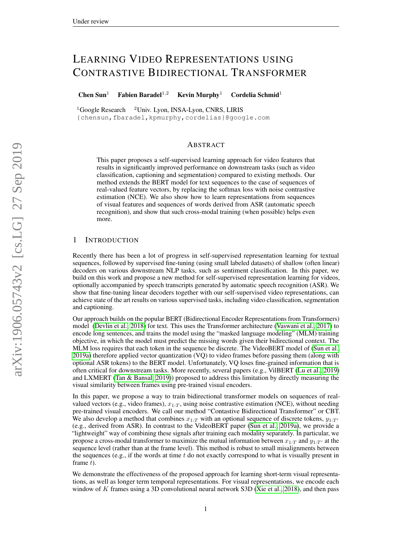# LEARNING VIDEO REPRESENTATIONS USING CONTRASTIVE BIDIRECTIONAL TRANSFORMER

Chen Sun<sup>1</sup> Fabien Baradel<sup>1,2</sup> Kevin Murphy<sup>1</sup> Cordelia Schmid<sup>1</sup>

 $1$ Google Research  $2$ Univ. Lyon, INSA-Lyon, CNRS, LIRIS {chensun,fbaradel,kpmurphy,cordelias}@google.com

# ABSTRACT

This paper proposes a self-supervised learning approach for video features that results in significantly improved performance on downstream tasks (such as video classification, captioning and segmentation) compared to existing methods. Our method extends the BERT model for text sequences to the case of sequences of real-valued feature vectors, by replacing the softmax loss with noise contrastive estimation (NCE). We also show how to learn representations from sequences of visual features and sequences of words derived from ASR (automatic speech recognition), and show that such cross-modal training (when possible) helps even more.

## 1 INTRODUCTION

Recently there has been a lot of progress in self-supervised representation learning for textual sequences, followed by supervised fine-tuning (using small labeled datasets) of shallow (often linear) decoders on various downstream NLP tasks, such as sentiment classification. In this paper, we build on this work and propose a new method for self-supervised representation learning for videos, optionally accompanied by speech transcripts generated by automatic speech recognition (ASR). We show that fine-tuning linear decoders together with our self-supervised video representations, can achieve state of the art results on various supervised tasks, including video classification, segmentation and captioning.

Our approach builds on the popular BERT (Bidirectional Encoder Representations from Transformers) model [\(Devlin et al., 2018\)](#page-8-0) for text. This uses the Transformer architecture [\(Vaswani et al., 2017\)](#page-10-0) to encode long sentences, and trains the model using the "masked language modeling" (MLM) training objective, in which the model must predict the missing words given their bidirectional context. The MLM loss requires that each token in the sequence be discrete. The VideoBERT model of [\(Sun et al.,](#page-9-0) [2019a\)](#page-9-0) therefore applied vector quantization (VQ) to video frames before passing them (along with optional ASR tokens) to the BERT model. Unfortunately, VQ loses fine-grained information that is often critical for downstream tasks. More recently, several papers (e.g., VilBERT [\(Lu et al., 2019\)](#page-8-1) and LXMERT [\(Tan & Bansal, 2019\)](#page-9-1)) proposed to address this limitation by directly measuring the visual similarity between frames using pre-trained visual encoders.

In this paper, we propose a way to train bidirectional transformer models on sequences of realvalued vectors (e.g., video frames),  $x_{1:T}$ , using noise contrastive estimation (NCE), without needing pre-trained visual encoders. We call our method "Contastive Bidirectional Transformer" or CBT. We also develop a method that combines  $x_{1:T}$  with an optional sequence of discrete tokens,  $y_{1:T'}$ (e.g., derived from ASR). In contrast to the VideoBERT paper [\(Sun et al., 2019a\)](#page-9-0), we provide a "lightweight" way of combining these signals after training each modality separately. In particular, we propose a cross-modal transformer to maximize the mutual information between  $x_{1:T}$  and  $y_{1:T'}$  at the sequence level (rather than at the frame level). This method is robust to small misalignments between the sequences (e.g., if the words at time  $t$  do not exactly correspond to what is visually present in frame  $t$ ).

We demonstrate the effectiveness of the proposed approach for learning short-term visual representations, as well as longer term temporal representations. For visual representations, we encode each window of K frames using a 3D convolutional neural network S3D [\(Xie et al., 2018\)](#page-10-1), and then pass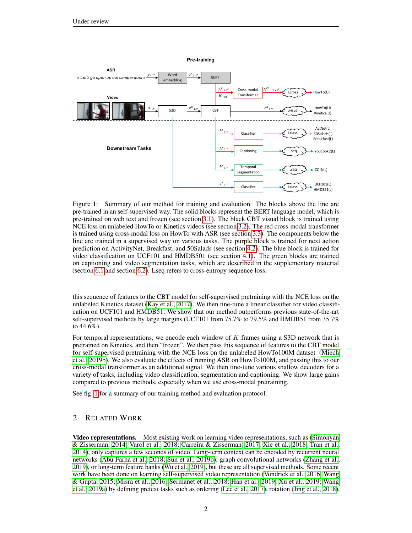

<span id="page-1-0"></span>Figure 1: Summary of our method for training and evaluation. The blocks above the line are pre-trained in an self-supervised way. The solid blocks represent the BERT language model, which is pre-trained on web text and frozen (see section [3.1\)](#page-2-0). The black CBT visual block is trained using NCE loss on unlabeled HowTo or Kinetics videos (see section [3.2\)](#page-3-0). The red cross-modal transformer is trained using cross-modal loss on HowTo with ASR (see section [3.3\)](#page-3-1). The components below the line are trained in a supervised way on various tasks. The purple block is trained for next action prediction on ActivityNet, Breakfast, and 50Salads (see section [4.2\)](#page-5-0). The blue block is trained for video classification on UCF101 and HMDB501 (see section [4.1\)](#page-4-0). The green blocks are trained on captioning and video segmentation tasks, which are described in the supplementary material (section [6.1](#page-11-0) and section [6.2\)](#page-11-1). Lseq refers to cross-entropy sequence loss.

this sequence of features to the CBT model for self-supervised pretraining with the NCE loss on the unlabeled Kinetics dataset [\(Kay et al., 2017\)](#page-8-2). We then fine-tune a linear classifier for video classification on UCF101 and HMDB51. We show that our method outperforms previous state-of-the-art self-supervised methods by large margins (UCF101 from 75.7% to 79.5% and HMDB51 from 35.7% to 44.6%).

For temporal representations, we encode each window of  $K$  frames using a S3D network that is pretrained on Kinetics, and then "frozen". We then pass this sequence of features to the CBT model for self-supervised pretraining with the NCE loss on the unlabeled HowTo100M dataset [\(Miech](#page-9-2) [et al., 2019b\)](#page-9-2). We also evaluate the effects of running ASR on HowTo100M, and passing this to our cross-modal transformer as an additional signal. We then fine-tune various shallow decoders for a variety of tasks, including video classification, segmentation and captioning. We show large gains compared to previous methods, especially when we use cross-modal pretraining.

See fig. [1](#page-1-0) for a summary of our training method and evaluation protocol.

# 2 RELATED WORK

Video representations. Most existing work on learning video representations, such as [\(Simonyan](#page-9-3) [& Zisserman, 2014;](#page-9-3) [Varol et al., 2018;](#page-9-4) [Carreira & Zisserman, 2017;](#page-8-3) [Xie et al., 2018;](#page-10-1) [Tran et al.,](#page-9-5) [2014\)](#page-9-5), only captures a few seconds of video. Long-term context can be encoded by recurrent neural networks [\(Abu Farha et al., 2018;](#page-8-4) [Sun et al., 2019b\)](#page-9-6), graph convolutional networks [\(Zhang et al.,](#page-10-2) [2019\)](#page-10-2), or long-term feature banks [\(Wu et al., 2019\)](#page-10-3), but these are all supervised methods. Some recent work have been done on learning self-supervised video representation [\(Vondrick et al., 2016;](#page-10-4) [Wang](#page-10-5) [& Gupta, 2015;](#page-10-5) [Misra et al., 2016;](#page-9-7) [Sermanet et al., 2018;](#page-9-8) [Han et al., 2019;](#page-8-5) [Xu et al., 2019;](#page-10-6) [Wang](#page-10-7) [et al., 2019a\)](#page-10-7) by defining pretext tasks such as ordering [\(Lee et al., 2017\)](#page-8-6), rotation [\(Jing et al., 2018\)](#page-8-7),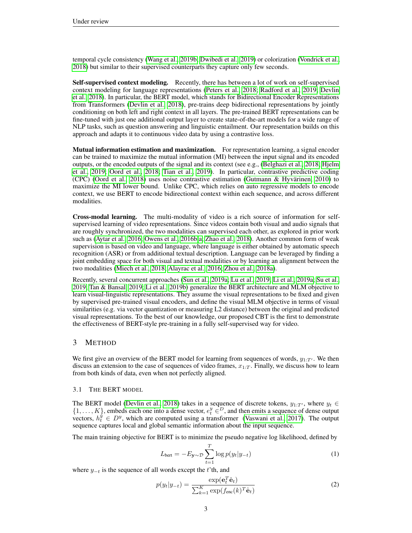temporal cycle consistency [\(Wang et al., 2019b;](#page-10-8) [Dwibedi et al., 2019\)](#page-8-8) or colorization [\(Vondrick et al.,](#page-10-9) [2018\)](#page-10-9) but similar to their supervised counterparts they capture only few seconds.

Self-supervised context modeling. Recently, there has between a lot of work on self-supervised context modeling for language representations [\(Peters et al., 2018;](#page-9-9) [Radford et al., 2019;](#page-9-10) [Devlin](#page-8-0) [et al., 2018\)](#page-8-0). In particular, the BERT model, which stands for Bidirectional Encoder Representations from Transformers [\(Devlin et al., 2018\)](#page-8-0), pre-trains deep bidirectional representations by jointly conditioning on both left and right context in all layers. The pre-trained BERT representations can be fine-tuned with just one additional output layer to create state-of-the-art models for a wide range of NLP tasks, such as question answering and linguistic entailment. Our representation builds on this approach and adapts it to continuous video data by using a contrastive loss.

Mutual information estimation and maximization. For representation learning, a signal encoder can be trained to maximize the mutual information (MI) between the input signal and its encoded outputs, or the encoded outputs of the signal and its context (see e.g., [\(Belghazi et al., 2018;](#page-8-9) [Hjelm](#page-8-10) [et al., 2019;](#page-8-10) [Oord et al., 2018;](#page-9-11) [Tian et al., 2019\)](#page-9-12). In particular, contrastive predictive coding (CPC) [\(Oord et al., 2018\)](#page-9-11) uses noise contrastive estimation [\(Gutmann & Hyvärinen, 2010\)](#page-8-11) to maximize the MI lower bound. Unlike CPC, which relies on auto regressive models to encode context, we use BERT to encode bidirectional context within each sequence, and across different modalities.

Cross-modal learning. The multi-modality of video is a rich source of information for selfsupervised learning of video representations. Since videos contain both visual and audio signals that are roughly synchronized, the two modalities can supervised each other, as explored in prior work such as [\(Aytar et al., 2016;](#page-8-12) [Owens et al., 2016b;](#page-9-13)[a;](#page-9-14) [Zhao et al., 2018\)](#page-10-10). Another common form of weak supervision is based on video and language, where language is either obtained by automatic speech recognition (ASR) or from additional textual description. Language can be leveraged by finding a joint embedding space for both visual and textual modalities or by learning an alignment between the two modalities [\(Miech et al., 2018;](#page-9-15) [Alayrac et al., 2016;](#page-8-13) [Zhou et al., 2018a\)](#page-10-11).

Recently, several concurrent approaches [\(Sun et al., 2019a;](#page-9-0) [Lu et al., 2019;](#page-8-1) [Li et al., 2019a;](#page-8-14) [Su et al.,](#page-9-16) [2019;](#page-9-16) [Tan & Bansal, 2019;](#page-9-1) [Li et al., 2019b\)](#page-8-15) generalize the BERT architecture and MLM objective to learn visual-linguistic representations. They assume the visual representations to be fixed and given by supervised pre-trained visual encoders, and define the visual MLM objective in terms of visual similarities (e.g. via vector quantization or measuring L2 distance) between the original and predicted visual representations. To the best of our knowledge, our proposed CBT is the first to demonstrate the effectiveness of BERT-style pre-training in a fully self-supervised way for video.

## 3 METHOD

We first give an overview of the BERT model for learning from sequences of words,  $y_{1:T'}$ . We then discuss an extension to the case of sequences of video frames,  $x_{1:T}$ . Finally, we discuss how to learn from both kinds of data, even when not perfectly aligned.

#### <span id="page-2-0"></span>3.1 THE BERT MODEL

The BERT model [\(Devlin et al., 2018\)](#page-8-0) takes in a sequence of discrete tokens,  $y_{1:T}$ , where  $y_t \in$  $\{1,\ldots,K\}$ , embeds each one into a dense vector,  $e_t^y \in D$ , and then emits a sequence of dense output vectors,  $h_t^y \in D^y$ , which are computed using a transformer [\(Vaswani et al., 2017\)](#page-10-0). The output sequence captures local and global semantic information about the input sequence.

The main training objective for BERT is to minimize the pseudo negative log likelihood, defined by

$$
L_{\text{bert}} = -E_{\mathbf{y} \sim \mathcal{D}} \sum_{t=1}^{T} \log p(y_t | y_{-t}) \tag{1}
$$

where  $y_{-t}$  is the sequence of all words except the t'th, and

$$
p(y_t|y_{-t}) = \frac{\exp(\mathbf{e}_t^T \hat{\mathbf{e}}_t)}{\sum_{k=1}^K \exp(f_{\text{enc}}(k)^T \hat{\mathbf{e}}_t)}
$$
(2)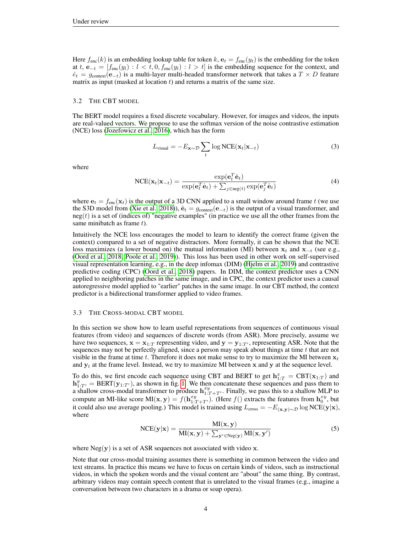Here  $f_{\text{enc}}(k)$  is an embedding lookup table for token k,  $e_t = f_{\text{enc}}(y_t)$  is the embedding for the token at t,  $e_{-t} = [f_{\text{enc}}(y_l) : l < t, 0, f_{\text{enc}}(y_l) : l > t]$  is the embedding sequence for the context, and  $\hat{e}_t = g_{\text{context}}(\mathbf{e}_{-t})$  is a multi-layer multi-headed transformer network that takes a  $T \times D$  feature matrix as input (masked at location  $t$ ) and returns a matrix of the same size.

#### <span id="page-3-0"></span>3.2 THE CBT MODEL

The BERT model requires a fixed discrete vocabulary. However, for images and videos, the inputs are real-valued vectors. We propose to use the softmax version of the noise contrastive estimation (NCE) loss [\(Jozefowicz et al., 2016\)](#page-8-16), which has the form

$$
L_{\text{visual}} = -E_{\mathbf{x} \sim \mathcal{D}} \sum_{t} \log \text{NCE}(\mathbf{x}_t | \mathbf{x}_{-t})
$$
\n(3)

where

$$
NCE(\mathbf{x}_t|\mathbf{x}_{-t}) = \frac{\exp(\mathbf{e}_t^T \hat{\mathbf{e}}_t)}{\exp(\mathbf{e}_t^T \hat{\mathbf{e}}_t) + \sum_{j \in \text{neg}(t)} \exp(\mathbf{e}_j^T \hat{\mathbf{e}}_t)}
$$
(4)

where  $e_t = f_{enc}(x_t)$  is the output of a 3D CNN applied to a small window around frame t (we use the S3D model from [\(Xie et al., 2018\)](#page-10-1)),  $\hat{\mathbf{e}}_t = g_{\text{context}}(\mathbf{e}_{-t})$  is the output of a visual transformer, and  $neg(t)$  is a set of (indices of) "negative examples" (in practice we use all the other frames from the same minibatch as frame t).

Intuitively the NCE loss encourages the model to learn to identify the correct frame (given the context) compared to a set of negative distractors. More formally, it can be shown that the NCE loss maximizes (a lower bound on) the mutual information (MI) between  $x_t$  and  $x_{-t}$  (see e.g., [\(Oord et al., 2018;](#page-9-11) [Poole et al., 2019\)](#page-9-17)). This loss has been used in other work on self-supervised visual representation learning, e.g., in the deep infomax (DIM) [\(Hjelm et al., 2019\)](#page-8-10) and contrastive predictive coding (CPC) [\(Oord et al., 2018\)](#page-9-11) papers. In DIM, the context predictor uses a CNN applied to neighboring patches in the same image, and in CPC, the context predictor uses a causal autoregressive model applied to "earlier" patches in the same image. In our CBT method, the context predictor is a bidirectional transformer applied to video frames.

#### <span id="page-3-1"></span>3.3 THE CROSS-MODAL CBT MODEL

In this section we show how to learn useful representations from sequences of continuous visual features (from video) and sequences of discrete words (from ASR). More precisely, assume we have two sequences,  $x = x_{1:T}$  representing video, and  $y = y_{1:T}$ , representing ASR. Note that the sequences may not be perfectly aligned, since a person may speak about things at time t that are not visible in the frame at time t. Therefore it does not make sense to try to maximize the MI between  $x_t$ and  $y_t$  at the frame level. Instead, we try to maximize MI between x and y at the sequence level.

To do this, we first encode each sequence using CBT and BERT to get  $h_{1:T}^x = CBT(\mathbf{x}_{1:T})$  and  $h_{1:T'}^y = BERT(y_{1:T'})$ , as shown in fig. [1.](#page-1-0) We then concatenate these sequences and pass them to a shallow cross-modal transformer to produce  $h^{xy}_{1:T+T'}$ . Finally, we pass this to a shallow MLP to compute an MI-like score  $MI(x, y) = f(h_{1:T+T'}^{xy})$ . (Here  $f()$  extracts the features from  $h_0^{xy}$ , but it could also use average pooling.) This model is trained using  $L_{cross} = -E_{(x,y)\sim\mathcal{D}} \log \text{NCE}(y|x)$ , where

$$
NCE(\mathbf{y}|\mathbf{x}) = \frac{MI(\mathbf{x}, \mathbf{y})}{MI(\mathbf{x}, \mathbf{y}) + \sum_{\mathbf{y}' \in \text{Neg}(\mathbf{y})} MI(\mathbf{x}, \mathbf{y}')}
$$
(5)

where  $Neg(y)$  is a set of ASR sequences not associated with video x.

Note that our cross-modal training assumes there is something in common between the video and text streams. In practice this means we have to focus on certain kinds of videos, such as instructional videos, in which the spoken words and the visual content are "about" the same thing. By contrast, arbitrary videos may contain speech content that is unrelated to the visual frames (e.g., imagine a conversation between two characters in a drama or soap opera).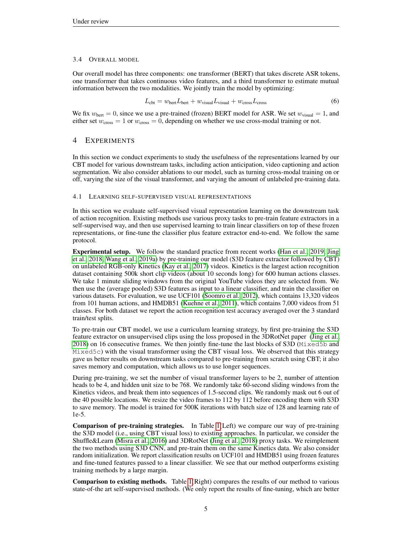### 3.4 OVERALL MODEL

Our overall model has three components: one transformer (BERT) that takes discrete ASR tokens, one transformer that takes continuous video features, and a third transformer to estimate mutual information between the two modalities. We jointly train the model by optimizing:

$$
L_{\text{cbt}} = w_{\text{bert}} L_{\text{bert}} + w_{\text{visual}} L_{\text{visual}} + w_{\text{cross}} L_{\text{cross}} \tag{6}
$$

We fix  $w_{\text{bert}} = 0$ , since we use a pre-trained (frozen) BERT model for ASR. We set  $w_{\text{visual}} = 1$ , and either set  $w_{\text{cross}} = 1$  or  $w_{\text{cross}} = 0$ , depending on whether we use cross-modal training or not.

# 4 EXPERIMENTS

In this section we conduct experiments to study the usefulness of the representations learned by our CBT model for various downstream tasks, including action anticipation, video captioning and action segmentation. We also consider ablations to our model, such as turning cross-modal training on or off, varying the size of the visual transformer, and varying the amount of unlabeled pre-training data.

## <span id="page-4-0"></span>4.1 LEARNING SELF-SUPERVISED VISUAL REPRESENTATIONS

In this section we evaluate self-supervised visual representation learning on the downstream task of action recognition. Existing methods use various proxy tasks to pre-train feature extractors in a self-supervised way, and then use supervised learning to train linear classifiers on top of these frozen representations, or fine-tune the classifier plus feature extractor end-to-end. We follow the same protocol.

Experimental setup. We follow the standard practice from recent works [\(Han et al., 2019;](#page-8-5) [Jing](#page-8-7) [et al., 2018;](#page-8-7) [Wang et al., 2019a\)](#page-10-7) by pre-training our model (S3D feature extractor followed by CBT) on unlabeled RGB-only Kinetics [\(Kay et al., 2017\)](#page-8-2) videos. Kinetics is the largest action recognition dataset containing 500k short clip videos (about 10 seconds long) for 600 human actions classes. We take 1 minute sliding windows from the original YouTube videos they are selected from. We then use the (average pooled) S3D features as input to a linear classifier, and train the classifier on various datasets. For evaluation, we use UCF101 [\(Soomro et al., 2012\)](#page-9-18), which contains 13,320 videos from 101 human actions, and HMDB51 [\(Kuehne et al., 2011\)](#page-8-17), which contains 7,000 videos from 51 classes. For both dataset we report the action recognition test accuracy averaged over the 3 standard train/test splits.

To pre-train our CBT model, we use a curriculum learning strategy, by first pre-training the S3D feature extractor on unsupervised clips using the loss proposed in the 3DRotNet paper [\(Jing et al.,](#page-8-7) [2018\)](#page-8-7) on 16 consecutive frames. We then jointly fine-tune the last blocks of S3D (Mixed5b and  $Mixed5c$ ) with the visual transformer using the CBT visual loss. We observed that this strategy gave us better results on downstream tasks compared to pre-training from scratch using CBT; it also saves memory and computation, which allows us to use longer sequences.

During pre-training, we set the number of visual transformer layers to be 2, number of attention heads to be 4, and hidden unit size to be 768. We randomly take 60-second sliding windows from the Kinetics videos, and break them into sequences of 1.5-second clips. We randomly mask out 6 out of the 40 possible locations. We resize the video frames to 112 by 112 before encoding them with S3D to save memory. The model is trained for 500K iterations with batch size of 128 and learning rate of 1e-5.

Comparison of pre-training strategies. In Table [1\(](#page-5-1)Left) we compare our way of pre-training the S3D model (i.e., using CBT visual loss) to existing approaches. In particular, we consider the Shuffle&Learn [\(Misra et al., 2016\)](#page-9-7) and 3DRotNet [\(Jing et al., 2018\)](#page-8-7) proxy tasks. We reimplement the two methods using S3D CNN, and pre-train them on the same Kinetics data. We also consider random initialization. We report classification results on UCF101 and HMDB51 using frozen features and fine-tuned features passed to a linear classifier. We see that our method outperforms existing training methods by a large margin.

Comparison to existing methods. Table [1\(](#page-5-1)Right) compares the results of our method to various state-of-the art self-supervised methods. (We only report the results of fine-tuning, which are better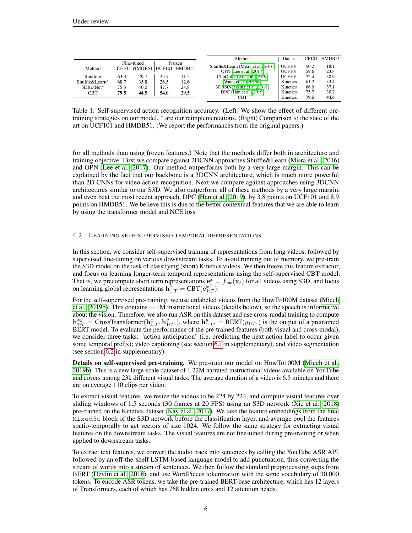|                |      |            |                                       |      | Method                                                       | Dataset                        | UCF101       | HMDB51       |
|----------------|------|------------|---------------------------------------|------|--------------------------------------------------------------|--------------------------------|--------------|--------------|
| Method         |      | Fine-tuned | Frozen<br>UCF101 HMDB51 UCF101 HMDB51 |      | Shuffle&Learn (Misra et al., 2016)<br>OPN (Lee et al., 2017) | <b>UCF101</b><br><b>UCF101</b> | 50.2<br>59.6 | 18.1<br>23.8 |
| Random         | 63.3 | 29.7       | 25.7                                  | 11.5 | ClipOrder (Xu et al., 2019)                                  | <b>UCF101</b>                  | 72.4         | 30.9         |
| Shuffle&Learn* | 68.7 | 35.8       | 26.5                                  | 12.6 | Wang et al. $(2019a)$                                        | Kinetics                       | 61.2         | 33.4         |
| 3DRotNet*      | 75.3 | 40.0       | 47.7                                  | 24.8 | 3DRotNet (Jing et al., 2018)                                 | Kinetics                       | 66.0         | 37.1         |
| <b>CBT</b>     | 79.5 | 44.5       | 54.0                                  | 29.5 | DPC (Han et al., 2019)                                       | Kinetics                       | 75.7         | 35.7         |
|                |      |            |                                       |      | <b>CBT</b>                                                   | Kinetics                       | 79.5         | 44.6         |

<span id="page-5-1"></span>Table 1: Self-supervised action recognition accuracy. (Left) We show the effect of different pretraining strategies on our model. <sup>∗</sup> are our reimplementations. (Right) Comparison to the state of the art on UCF101 and HMDB51. (We report the performances from the original papers.)

for all methods than using frozen features.) Note that the methods differ both in architecture and training objective. First we compare against 2DCNN approaches Shuffle&Learn [\(Misra et al., 2016\)](#page-9-7) and OPN [\(Lee et al., 2017\)](#page-8-6). Our method outperforms both by a very large margin. This can be explained by the fact that our backbone is a 3DCNN architecture, which is much more powerful than 2D CNNs for video action recognition. Next we compare against approaches using 3DCNN architectures similar to our S3D. We also outperform all of these methods by a very large margin, and even beat the most recent approach, DPC [\(Han et al., 2019\)](#page-8-5), by 3.8 points on UCF101 and 8.9 points on HMDB51. We believe this is due to the better contextual features that we are able to learn by using the transformer model and NCE loss.

#### <span id="page-5-0"></span>4.2 LEARNING SELF-SUPERVISED TEMPORAL REPRESENTATIONS

In this section, we consider self-supervised training of representations from long videos, followed by supervised fine-tuning on various downstream tasks. To avoid running out of memory, we pre-train the S3D model on the task of classifying (short) Kinetics videos. We then freeze this feature extractor, and focus on learning longer-term temporal representations using the self-supervised CBT model. That is, we precompute short term representations  $\mathbf{e}_t^x = f_{\text{enc}}(\mathbf{x}_t)$  for all videos using S3D, and focus on learning global representations  $\mathbf{h}_{1:T}^{\tilde{x}} = \text{CBT}(\mathbf{e}_{1:T}^{x}).$ 

For the self-supervised pre-training, we use unlabeled videos from the HowTo100M dataset [\(Miech](#page-9-2) [et al., 2019b\)](#page-9-2). This contains ∼ 1M instructional videos (details below), so the speech is informative about the vision. Therefore, we also run ASR on this dataset and use cross-modal training to compute  $\mathbf{h}_{1:T}^{xy} = \text{CrossTransformer}(\mathbf{h}_{1:T}^x, \mathbf{h}_{1:T'}^y)$ , where  $\mathbf{h}_{1:T'}^y = \text{BERT}(y_{1:T'})$  is the output of a pretrained BERT model. To evaluate the performance of the pre-trained features (both visual and cross-modal), we consider three tasks: "action anticipation" (i.e, predicting the next action label to occur given some temporal prefix); video captioning (see section [6.1](#page-11-0) in supplementary), and video segmentation (see section [6.2](#page-11-1) in supplementary).

Details on self-supervised pre-training. We pre-train our model on HowTo100M [\(Miech et al.,](#page-9-2) [2019b\)](#page-9-2). This is a new large-scale dataset of 1.22M narrated instructional videos available on YouTube and covers among 23k different visual tasks. The average duration of a video is 6.5 minutes and there are on average 110 clips per video.

To extract visual features, we resize the videos to be 224 by 224, and compute visual features over sliding windows of 1.5 seconds (30 frames at 20 FPS) using an S3D network [\(Xie et al., 2018\)](#page-10-1) pre-trained on the Kinetics dataset [\(Kay et al., 2017\)](#page-8-2). We take the feature embeddings from the final Mixed5c block of the S3D network before the classification layer, and average pool the features spatio-temporally to get vectors of size 1024. We follow the same strategy for extracting visual features on the downstream tasks. The visual features are not fine-tuned during pre-training or when applied to downstream tasks.

To extract text features, we convert the audio track into sentences by calling the YouTube ASR API, followed by an off-the-shelf LSTM-based language model to add punctuation, thus converting the stream of words into a stream of sentences. We then follow the standard preprocessing steps from BERT [\(Devlin et al., 2018\)](#page-8-0), and use WordPieces tokenization with the same vocabulary of 30,000 tokens. To encode ASR tokens, we take the pre-trained BERT-base architecture, which has 12 layers of Transformers, each of which has 768 hidden units and 12 attention heads.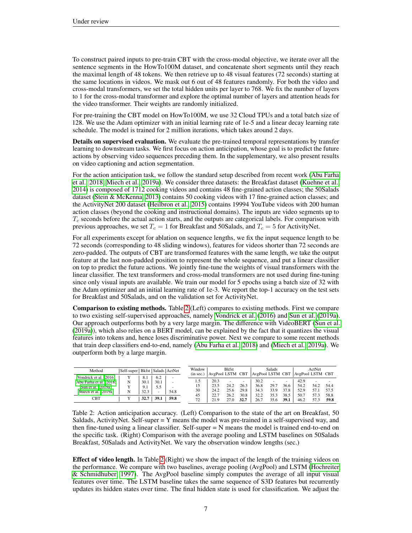To construct paired inputs to pre-train CBT with the cross-modal objective, we iterate over all the sentence segments in the HowTo100M dataset, and concatenate short segments until they reach the maximal length of 48 tokens. We then retrieve up to 48 visual features (72 seconds) starting at the same locations in videos. We mask out 6 out of 48 features randomly. For both the video and cross-modal transformers, we set the total hidden units per layer to 768. We fix the number of layers to 1 for the cross-modal transformer and explore the optimal number of layers and attention heads for the video transformer. Their weights are randomly initialized.

For pre-training the CBT model on HowTo100M, we use 32 Cloud TPUs and a total batch size of 128. We use the Adam optimizer with an initial learning rate of 1e-5 and a linear decay learning rate schedule. The model is trained for 2 million iterations, which takes around 2 days.

Details on supervised evaluation. We evaluate the pre-trained temporal representations by transfer learning to downstream tasks. We first focus on action anticipation, whose goal is to predict the future actions by observing video sequences preceding them. In the supplementary, we also present results on video captioning and action segmentation.

For the action anticipation task, we follow the standard setup described from recent work [\(Abu Farha](#page-8-4) [et al., 2018;](#page-8-4) [Miech et al., 2019a\)](#page-9-19). We consider three datasets: the Breakfast dataset [\(Kuehne et al.,](#page-8-18) [2014\)](#page-8-18) is composed of 1712 cooking videos and contains 48 fine-grained action classes; the 50Salads dataset [\(Stein & McKenna, 2013\)](#page-9-20) contains 50 cooking videos with 17 fine-grained action classes; and the ActivityNet 200 dataset [\(Heilbron et al., 2015\)](#page-8-19) contains 19994 YouTube videos with 200 human action classes (beyond the cooking and instructional domains). The inputs are video segments up to  $T_c$  seconds before the actual action starts, and the outputs are categorical labels. For comparison with previous approaches, we set  $T_c = 1$  for Breakfast and 50Salads, and  $T_c = 5$  for ActivityNet.

For all experiments except for ablation on sequence lengths, we fix the input sequence length to be 72 seconds (corresponding to 48 sliding windows), features for videos shorter than 72 seconds are zero-padded. The outputs of CBT are transformed features with the same length, we take the output feature at the last non-padded position to represent the whole sequence, and put a linear classifier on top to predict the future actions. We jointly fine-tune the weights of visual transformers with the linear classifier. The text transformers and cross-modal transformers are not used during fine-tuning since only visual inputs are available. We train our model for 5 epochs using a batch size of 32 with the Adam optimizer and an initial learning rate of 1e-3. We report the top-1 accuracy on the test sets for Breakfast and 50Salads, and on the validation set for ActivityNet.

Comparison to existing methods. Table [2](#page-6-0) (Left) compares to existing methods. First we compare to two existing self-supervised approaches, namely [Vondrick et al.](#page-10-4) [\(2016\)](#page-10-4) and [Sun et al.](#page-9-0) [\(2019a\)](#page-9-0). Our approach outperforms both by a very large margin. The difference with VideoBERT [\(Sun et al.](#page-9-0) [\(2019a\)](#page-9-0)), which also relies on a BERT model, can be explained by the fact that it quantizes the visual features into tokens and, hence loses discriminative power. Next we compare to some recent methods that train deep classifiers end-to-end, namely [\(Abu Farha et al., 2018\)](#page-8-4) and [\(Miech et al., 2019a\)](#page-9-19). We outperform both by a large margin.

| Method                                                                                          | Self-super   Bkfst   Salads   ActNet |                            |                              |      | Window<br>(in sec.)   | AvgPool LSTM                 | <b>B</b> kfst                                    | CBT                       | AvgPool LSTM CBT             | Salads               |                      | AvgPool LSTM CBT             | ActNet               |                      |
|-------------------------------------------------------------------------------------------------|--------------------------------------|----------------------------|------------------------------|------|-----------------------|------------------------------|--------------------------------------------------|---------------------------|------------------------------|----------------------|----------------------|------------------------------|----------------------|----------------------|
| Vondrick et al. (2016)<br>Abu Farha et al. (2018)<br>Sun et al. (2019a)<br>Miech et al. (2019a) | N<br>N                               | 8.1<br>30.1<br>9.1<br>32.3 | 6.2<br>30.1<br>5.5<br>$\sim$ | 54.8 | 1.5<br>15<br>30<br>45 | 20.3<br>23.5<br>24.2<br>22.7 | $\overline{\phantom{a}}$<br>24.2<br>25.6<br>26.2 | ۰<br>26.3<br>29.8<br>30.8 | 30.2<br>36.8<br>34.3<br>32.2 | 29.7<br>33.9<br>35.3 | 36.6<br>37.8<br>38.5 | 42.9<br>54.2<br>52.9<br>50.7 | 54.2<br>57.1<br>57.3 | 54.4<br>57.5<br>58.8 |
| CBT                                                                                             |                                      | 32.7                       | 39.1                         | 59.8 | 72                    | 21.9                         | 27.0                                             | 32.7                      | 26.7                         | 35.6                 | 39.1                 | 46.2                         | 573                  | 59.8                 |

<span id="page-6-0"></span>Table 2: Action anticipation accuracy. (Left) Comparison to the state of the art on Breakfast, 50 Saldads, ActivityNet. Self-super  $= Y$  means the model was pre-trained in a self-supervised way, and then fine-tuned using a linear classifier. Self-super  $=N$  means the model is trained end-to-end on the specific task. (Right) Comparison with the average pooling and LSTM baselines on 50Salads Breakfast, 50Salads and ActivityNet. We vary the observation window lengths (sec.)

**Effect of video length.** In Table [2](#page-6-0) (Right) we show the impact of the length of the training videos on the performance. We compare with two baselines, average pooling (AvgPool) and LSTM [\(Hochreiter](#page-8-20) [& Schmidhuber, 1997\)](#page-8-20). The AvgPool baseline simply computes the average of all input visual features over time. The LSTM baseline takes the same sequence of S3D features but recurrently updates its hidden states over time. The final hidden state is used for classification. We adjust the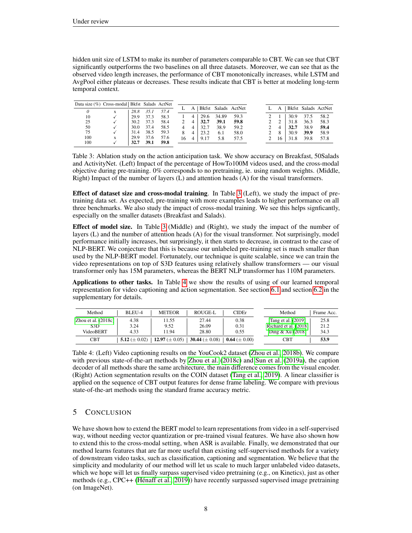hidden unit size of LSTM to make its number of parameters comparable to CBT. We can see that CBT significantly outperforms the two baselines on all three datasets. Moreover, we can see that as the observed video length increases, the performance of CBT monotonically increases, while LSTM and AvgPool either plateaus or decreases. These results indicate that CBT is better at modeling long-term temporal context.

| Data size (%) Cross-modal   Bkfst Salads ActNet |   |      |      |      |    |          |      |       |                     |  |    |      |      |                     |
|-------------------------------------------------|---|------|------|------|----|----------|------|-------|---------------------|--|----|------|------|---------------------|
|                                                 |   |      |      |      |    |          |      |       | Bkfst Salads ActNet |  | A  |      |      | Bkfst Salads ActNet |
| $\theta$                                        | X | 28.8 | 351  | 57.4 |    |          |      |       |                     |  |    |      |      |                     |
| 10                                              |   | 29.9 | 37.3 | 58.3 |    | 4        | 29.6 | 34.89 | 59.3                |  |    | 30.9 | 37.5 | 58.2                |
| 25                                              |   | 30.2 | 37.3 | 58.4 |    | 4        | 32.7 | 39.1  | 59.8                |  |    | 31.8 | 36.3 | 58.3                |
| 50                                              |   | 30.0 | 37.4 | 58.5 |    | $\Delta$ | 32.7 | 38.9  | 59.2                |  |    | 32.7 | 38.9 | 59.4                |
| 75                                              |   | 31.4 | 38.5 | 59.3 |    |          | 23.2 | 6.1   | 58.0                |  | 8  | 30.9 | 39.9 | 58.9                |
| 100                                             | X | 29.9 | 37.6 | 57.6 | 16 |          | 9.17 | 5.8   | 57.5                |  | 16 | 31.8 | 39.8 | 57.8                |
| 100                                             |   | 32.7 | 39.1 | 59.8 |    |          |      |       |                     |  |    |      |      |                     |

<span id="page-7-0"></span>Table 3: Ablation study on the action anticipation task. We show accuracy on Breakfast, 50Salads and ActivityNet. (Left) Impact of the percentage of HowTo100M videos used, and the cross-modal objective during pre-training. 0% corresponds to no pretraining, ie. using random weights. (Middle, Right) Impact of the number of layers (L) and attention heads (A) for the visual transformers.

Effect of dataset size and cross-modal training. In Table [3](#page-7-0) (Left), we study the impact of pretraining data set. As expected, pre-training with more examples leads to higher performance on all three benchmarks. We also study the impact of cross-modal training. We see this helps signficantly, especially on the smaller datasets (Breakfast and Salads).

Effect of model size. In Table [3](#page-7-0) (Middle) and (Right), we study the impact of the number of layers (L) and the number of attention heads (A) for the visual transformer. Not surprisingly, model performance initially increases, but surprisingly, it then starts to decrease, in contrast to the case of NLP-BERT. We conjecture that this is because our unlabeled pre-training set is much smaller than used by the NLP-BERT model. Fortunately, our technique is quite scalable, since we can train the video representations on top of S3D features using relatively shallow transformers — our visual transformer only has 15M parameters, whereas the BERT NLP transformer has 110M parameters.

Applications to other tasks. In Table [4](#page-7-1) we show the results of using of our learned temporal representation for video captioning and action segmentation. See section [6.1](#page-11-0) and section [6.2](#page-11-1) in the supplementary for details.

| Method                | BLEU-4             | <b>METEOR</b>       | ROUGE-L             | <b>CIDE</b> r      | Method                | Frame Acc. |
|-----------------------|--------------------|---------------------|---------------------|--------------------|-----------------------|------------|
| Zhou et al. $(2018c)$ | 4.38               | 11.55               | 27.44               | 0.38               | Tang et al. (2019)    | 25.8       |
| S <sub>3</sub> D      | 3.24               | 9.52                | 26.09               | 0.31               | Richard et al. (2018) | 21.2       |
| VideoBERT             | 4.33               | 11.94               | 28.80               | 0.55               | Ding $& Xu(2018)$     | 34.3       |
| <b>CBT</b>            | 5.12 ( $\pm$ 0.02) | 12.97 ( $\pm$ 0.05) | 30.44 ( $\pm$ 0.08) | 0.64 ( $\pm$ 0.00) | <b>CBT</b>            | 53.9       |

<span id="page-7-1"></span>Table 4: (Left) Video captioning results on the YouCook2 dataset [\(Zhou et al., 2018b\)](#page-10-13). We compare with previous state-of-the-art methods by [Zhou et al.](#page-10-12) [\(2018c\)](#page-10-12) and [Sun et al.](#page-9-0) [\(2019a\)](#page-9-0), the caption decoder of all methods share the same architecture, the main difference comes from the visual encoder. (Right) Action segmentation results on the COIN dataset [\(Tang et al., 2019\)](#page-9-21). A linear classifier is applied on the sequence of CBT output features for dense frame labeling. We compare with previous state-of-the-art methods using the standard frame accuracy metric.

# 5 CONCLUSION

We have shown how to extend the BERT model to learn representations from video in a self-supervised way, without needing vector quantization or pre-trained visual features. We have also shown how to extend this to the cross-modal setting, when ASR is available. Finally, we demonstrated that our method learns features that are far more useful than existing self-supervised methods for a variety of downstream video tasks, such as classification, captioning and segmentation. We believe that the simplicity and modularity of our method will let us scale to much larger unlabeled video datasets, which we hope will let us finally surpass supervised video pretraining (e.g., on Kinetics), just as other methods (e.g., CPC++ [\(Hénaff et al., 2019\)](#page-8-22)) have recently surpassed supervised image pretraining (on ImageNet).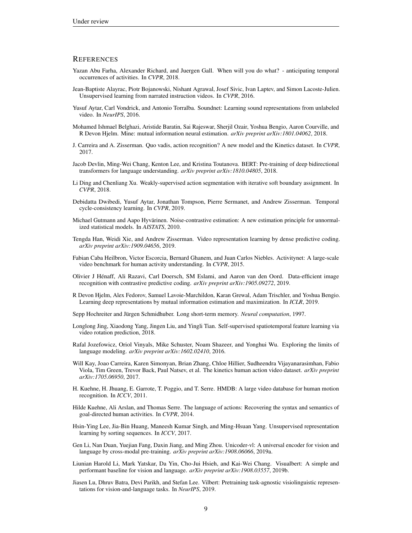### **REFERENCES**

- <span id="page-8-4"></span>Yazan Abu Farha, Alexander Richard, and Juergen Gall. When will you do what? - anticipating temporal occurrences of activities. In *CVPR*, 2018.
- <span id="page-8-13"></span>Jean-Baptiste Alayrac, Piotr Bojanowski, Nishant Agrawal, Josef Sivic, Ivan Laptev, and Simon Lacoste-Julien. Unsupervised learning from narrated instruction videos. In *CVPR*, 2016.
- <span id="page-8-12"></span>Yusuf Aytar, Carl Vondrick, and Antonio Torralba. Soundnet: Learning sound representations from unlabeled video. In *NeurIPS*, 2016.
- <span id="page-8-9"></span>Mohamed Ishmael Belghazi, Aristide Baratin, Sai Rajeswar, Sherjil Ozair, Yoshua Bengio, Aaron Courville, and R Devon Hjelm. Mine: mutual information neural estimation. *arXiv preprint arXiv:1801.04062*, 2018.
- <span id="page-8-3"></span>J. Carreira and A. Zisserman. Quo vadis, action recognition? A new model and the Kinetics dataset. In *CVPR*, 2017.
- <span id="page-8-0"></span>Jacob Devlin, Ming-Wei Chang, Kenton Lee, and Kristina Toutanova. BERT: Pre-training of deep bidirectional transformers for language understanding. *arXiv preprint arXiv:1810.04805*, 2018.
- <span id="page-8-21"></span>Li Ding and Chenliang Xu. Weakly-supervised action segmentation with iterative soft boundary assignment. In *CVPR*, 2018.
- <span id="page-8-8"></span>Debidatta Dwibedi, Yusuf Aytar, Jonathan Tompson, Pierre Sermanet, and Andrew Zisserman. Temporal cycle-consistency learning. In *CVPR*, 2019.
- <span id="page-8-11"></span>Michael Gutmann and Aapo Hyvärinen. Noise-contrastive estimation: A new estimation principle for unnormalized statistical models. In *AISTATS*, 2010.
- <span id="page-8-5"></span>Tengda Han, Weidi Xie, and Andrew Zisserman. Video representation learning by dense predictive coding. *arXiv preprint arXiv:1909.04656*, 2019.
- <span id="page-8-19"></span>Fabian Caba Heilbron, Victor Escorcia, Bernard Ghanem, and Juan Carlos Niebles. Activitynet: A large-scale video benchmark for human activity understanding. In *CVPR*, 2015.
- <span id="page-8-22"></span>Olivier J Hénaff, Ali Razavi, Carl Doersch, SM Eslami, and Aaron van den Oord. Data-efficient image recognition with contrastive predictive coding. *arXiv preprint arXiv:1905.09272*, 2019.
- <span id="page-8-10"></span>R Devon Hjelm, Alex Fedorov, Samuel Lavoie-Marchildon, Karan Grewal, Adam Trischler, and Yoshua Bengio. Learning deep representations by mutual information estimation and maximization. In *ICLR*, 2019.
- <span id="page-8-20"></span>Sepp Hochreiter and Jürgen Schmidhuber. Long short-term memory. *Neural computation*, 1997.
- <span id="page-8-7"></span>Longlong Jing, Xiaodong Yang, Jingen Liu, and Yingli Tian. Self-supervised spatiotemporal feature learning via video rotation prediction, 2018.
- <span id="page-8-16"></span>Rafal Jozefowicz, Oriol Vinyals, Mike Schuster, Noam Shazeer, and Yonghui Wu. Exploring the limits of language modeling. *arXiv preprint arXiv:1602.02410*, 2016.
- <span id="page-8-2"></span>Will Kay, Joao Carreira, Karen Simonyan, Brian Zhang, Chloe Hillier, Sudheendra Vijayanarasimhan, Fabio Viola, Tim Green, Trevor Back, Paul Natsev, et al. The kinetics human action video dataset. *arXiv preprint arXiv:1705.06950*, 2017.
- <span id="page-8-17"></span>H. Kuehne, H. Jhuang, E. Garrote, T. Poggio, and T. Serre. HMDB: A large video database for human motion recognition. In *ICCV*, 2011.
- <span id="page-8-18"></span>Hilde Kuehne, Ali Arslan, and Thomas Serre. The language of actions: Recovering the syntax and semantics of goal-directed human activities. In *CVPR*, 2014.
- <span id="page-8-6"></span>Hsin-Ying Lee, Jia-Bin Huang, Maneesh Kumar Singh, and Ming-Hsuan Yang. Unsupervised representation learning by sorting sequences. In *ICCV*, 2017.
- <span id="page-8-14"></span>Gen Li, Nan Duan, Yuejian Fang, Daxin Jiang, and Ming Zhou. Unicoder-vl: A universal encoder for vision and language by cross-modal pre-training. *arXiv preprint arXiv:1908.06066*, 2019a.
- <span id="page-8-15"></span>Liunian Harold Li, Mark Yatskar, Da Yin, Cho-Jui Hsieh, and Kai-Wei Chang. Visualbert: A simple and performant baseline for vision and language. *arXiv preprint arXiv:1908.03557*, 2019b.
- <span id="page-8-1"></span>Jiasen Lu, Dhruv Batra, Devi Parikh, and Stefan Lee. Vilbert: Pretraining task-agnostic visiolinguistic representations for vision-and-language tasks. In *NeurIPS*, 2019.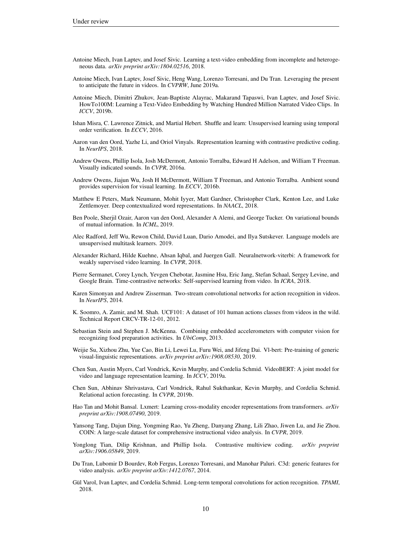- <span id="page-9-15"></span>Antoine Miech, Ivan Laptev, and Josef Sivic. Learning a text-video embedding from incomplete and heterogeneous data. *arXiv preprint arXiv:1804.02516*, 2018.
- <span id="page-9-19"></span>Antoine Miech, Ivan Laptev, Josef Sivic, Heng Wang, Lorenzo Torresani, and Du Tran. Leveraging the present to anticipate the future in videos. In *CVPRW*, June 2019a.
- <span id="page-9-2"></span>Antoine Miech, Dimitri Zhukov, Jean-Baptiste Alayrac, Makarand Tapaswi, Ivan Laptev, and Josef Sivic. HowTo100M: Learning a Text-Video Embedding by Watching Hundred Million Narrated Video Clips. In *ICCV*, 2019b.
- <span id="page-9-7"></span>Ishan Misra, C. Lawrence Zitnick, and Martial Hebert. Shuffle and learn: Unsupervised learning using temporal order verification. In *ECCV*, 2016.
- <span id="page-9-11"></span>Aaron van den Oord, Yazhe Li, and Oriol Vinyals. Representation learning with contrastive predictive coding. In *NeurIPS*, 2018.
- <span id="page-9-14"></span>Andrew Owens, Phillip Isola, Josh McDermott, Antonio Torralba, Edward H Adelson, and William T Freeman. Visually indicated sounds. In *CVPR*, 2016a.
- <span id="page-9-13"></span>Andrew Owens, Jiajun Wu, Josh H McDermott, William T Freeman, and Antonio Torralba. Ambient sound provides supervision for visual learning. In *ECCV*, 2016b.
- <span id="page-9-9"></span>Matthew E Peters, Mark Neumann, Mohit Iyyer, Matt Gardner, Christopher Clark, Kenton Lee, and Luke Zettlemoyer. Deep contextualized word representations. In *NAACL*, 2018.
- <span id="page-9-17"></span>Ben Poole, Sherjil Ozair, Aaron van den Oord, Alexander A Alemi, and George Tucker. On variational bounds of mutual information. In *ICML*, 2019.
- <span id="page-9-10"></span>Alec Radford, Jeff Wu, Rewon Child, David Luan, Dario Amodei, and Ilya Sutskever. Language models are unsupervised multitask learners. 2019.
- <span id="page-9-22"></span>Alexander Richard, Hilde Kuehne, Ahsan Iqbal, and Juergen Gall. Neuralnetwork-viterbi: A framework for weakly supervised video learning. In *CVPR*, 2018.
- <span id="page-9-8"></span>Pierre Sermanet, Corey Lynch, Yevgen Chebotar, Jasmine Hsu, Eric Jang, Stefan Schaal, Sergey Levine, and Google Brain. Time-contrastive networks: Self-supervised learning from video. In *ICRA*, 2018.
- <span id="page-9-3"></span>Karen Simonyan and Andrew Zisserman. Two-stream convolutional networks for action recognition in videos. In *NeurIPS*, 2014.
- <span id="page-9-18"></span>K. Soomro, A. Zamir, and M. Shah. UCF101: A dataset of 101 human actions classes from videos in the wild. Technical Report CRCV-TR-12-01, 2012.
- <span id="page-9-20"></span>Sebastian Stein and Stephen J. McKenna. Combining embedded accelerometers with computer vision for recognizing food preparation activities. In *UbiComp*, 2013.
- <span id="page-9-16"></span>Weijie Su, Xizhou Zhu, Yue Cao, Bin Li, Lewei Lu, Furu Wei, and Jifeng Dai. Vl-bert: Pre-training of generic visual-linguistic representations. *arXiv preprint arXiv:1908.08530*, 2019.
- <span id="page-9-0"></span>Chen Sun, Austin Myers, Carl Vondrick, Kevin Murphy, and Cordelia Schmid. VideoBERT: A joint model for video and language representation learning. In *ICCV*, 2019a.
- <span id="page-9-6"></span>Chen Sun, Abhinav Shrivastava, Carl Vondrick, Rahul Sukthankar, Kevin Murphy, and Cordelia Schmid. Relational action forecasting. In *CVPR*, 2019b.
- <span id="page-9-1"></span>Hao Tan and Mohit Bansal. Lxmert: Learning cross-modality encoder representations from transformers. *arXiv preprint arXiv:1908.07490*, 2019.
- <span id="page-9-21"></span>Yansong Tang, Dajun Ding, Yongming Rao, Yu Zheng, Danyang Zhang, Lili Zhao, Jiwen Lu, and Jie Zhou. COIN: A large-scale dataset for comprehensive instructional video analysis. In *CVPR*, 2019.
- <span id="page-9-12"></span>Yonglong Tian, Dilip Krishnan, and Phillip Isola. Contrastive multiview coding. *arXiv preprint arXiv:1906.05849*, 2019.
- <span id="page-9-5"></span>Du Tran, Lubomir D Bourdev, Rob Fergus, Lorenzo Torresani, and Manohar Paluri. C3d: generic features for video analysis. *arXiv preprint arXiv:1412.0767*, 2014.
- <span id="page-9-4"></span>Gül Varol, Ivan Laptev, and Cordelia Schmid. Long-term temporal convolutions for action recognition. *TPAMI*, 2018.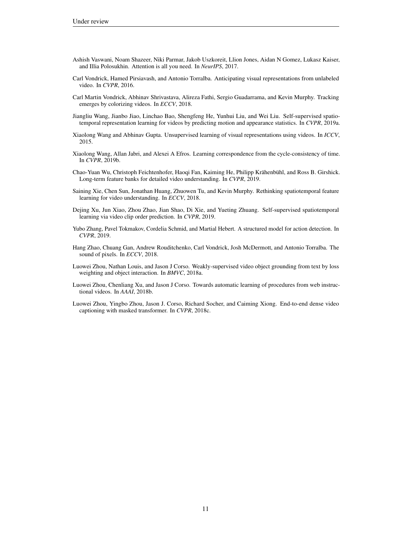- <span id="page-10-0"></span>Ashish Vaswani, Noam Shazeer, Niki Parmar, Jakob Uszkoreit, Llion Jones, Aidan N Gomez, Lukasz Kaiser, and Illia Polosukhin. Attention is all you need. In *NeurIPS*, 2017.
- <span id="page-10-4"></span>Carl Vondrick, Hamed Pirsiavash, and Antonio Torralba. Anticipating visual representations from unlabeled video. In *CVPR*, 2016.
- <span id="page-10-9"></span>Carl Martin Vondrick, Abhinav Shrivastava, Alireza Fathi, Sergio Guadarrama, and Kevin Murphy. Tracking emerges by colorizing videos. In *ECCV*, 2018.
- <span id="page-10-7"></span>Jiangliu Wang, Jianbo Jiao, Linchao Bao, Shengfeng He, Yunhui Liu, and Wei Liu. Self-supervised spatiotemporal representation learning for videos by predicting motion and appearance statistics. In *CVPR*, 2019a.
- <span id="page-10-5"></span>Xiaolong Wang and Abhinav Gupta. Unsupervised learning of visual representations using videos. In *ICCV*, 2015.
- <span id="page-10-8"></span>Xiaolong Wang, Allan Jabri, and Alexei A Efros. Learning correspondence from the cycle-consistency of time. In *CVPR*, 2019b.
- <span id="page-10-3"></span>Chao-Yuan Wu, Christoph Feichtenhofer, Haoqi Fan, Kaiming He, Philipp Krähenbühl, and Ross B. Girshick. Long-term feature banks for detailed video understanding. In *CVPR*, 2019.
- <span id="page-10-1"></span>Saining Xie, Chen Sun, Jonathan Huang, Zhuowen Tu, and Kevin Murphy. Rethinking spatiotemporal feature learning for video understanding. In *ECCV*, 2018.
- <span id="page-10-6"></span>Dejing Xu, Jun Xiao, Zhou Zhao, Jian Shao, Di Xie, and Yueting Zhuang. Self-supervised spatiotemporal learning via video clip order prediction. In *CVPR*, 2019.
- <span id="page-10-2"></span>Yubo Zhang, Pavel Tokmakov, Cordelia Schmid, and Martial Hebert. A structured model for action detection. In *CVPR*, 2019.
- <span id="page-10-10"></span>Hang Zhao, Chuang Gan, Andrew Rouditchenko, Carl Vondrick, Josh McDermott, and Antonio Torralba. The sound of pixels. In *ECCV*, 2018.
- <span id="page-10-11"></span>Luowei Zhou, Nathan Louis, and Jason J Corso. Weakly-supervised video object grounding from text by loss weighting and object interaction. In *BMVC*, 2018a.
- <span id="page-10-13"></span>Luowei Zhou, Chenliang Xu, and Jason J Corso. Towards automatic learning of procedures from web instructional videos. In *AAAI*, 2018b.
- <span id="page-10-12"></span>Luowei Zhou, Yingbo Zhou, Jason J. Corso, Richard Socher, and Caiming Xiong. End-to-end dense video captioning with masked transformer. In *CVPR*, 2018c.